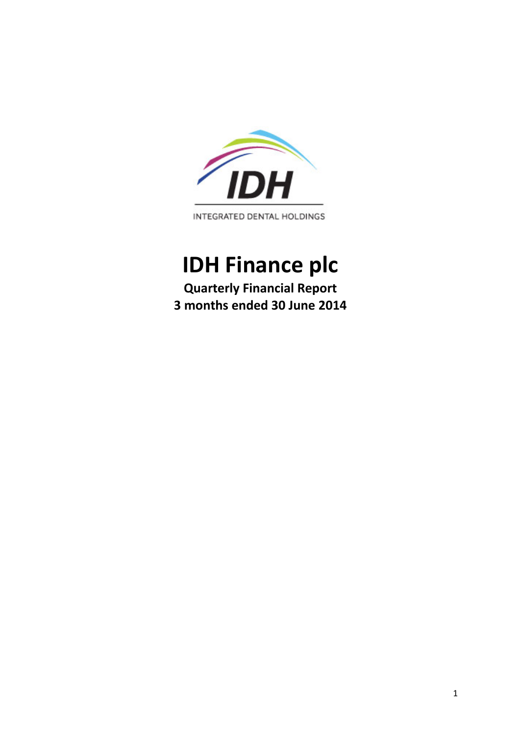

# **IDH Finance plc**

**Quarterly Financial Report 3 months ended 30 June 2014**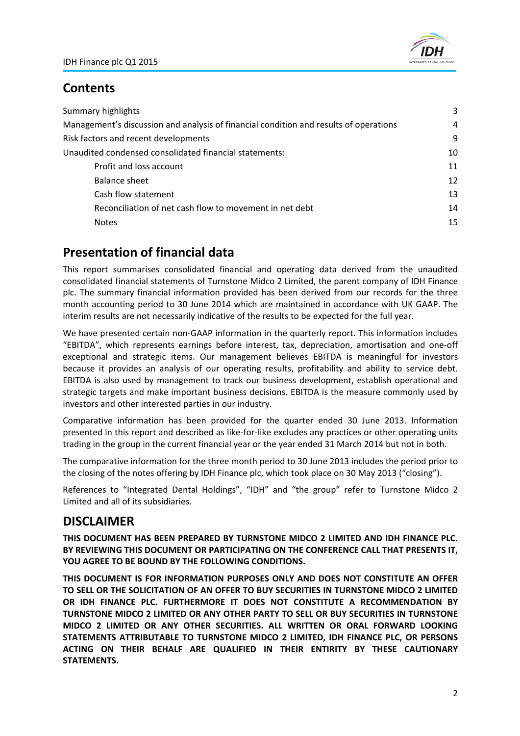

### **Contents**

| Summary highlights                                                                    | 3  |
|---------------------------------------------------------------------------------------|----|
| Management's discussion and analysis of financial condition and results of operations | 4  |
| Risk factors and recent developments                                                  | 9  |
| Unaudited condensed consolidated financial statements:                                | 10 |
| Profit and loss account                                                               | 11 |
| Balance sheet                                                                         | 12 |
| Cash flow statement                                                                   | 13 |
| Reconciliation of net cash flow to movement in net debt                               | 14 |
| <b>Notes</b>                                                                          | 15 |

# **Presentation of financial data**

This report summarises consolidated financial and operating data derived from the unaudited consolidated financial statements of Turnstone Midco 2 Limited, the parent company of IDH Finance plc. The summary financial information provided has been derived from our records for the three month accounting period to 30 June 2014 which are maintained in accordance with UK GAAP. The interim results are not necessarily indicative of the results to be expected for the full year.

We have presented certain non-GAAP information in the quarterly report. This information includes "EBITDA", which represents earnings before interest, tax, depreciation, amortisation and one‐off exceptional and strategic items. Our management believes EBITDA is meaningful for investors because it provides an analysis of our operating results, profitability and ability to service debt. EBITDA is also used by management to track our business development, establish operational and strategic targets and make important business decisions. EBITDA is the measure commonly used by investors and other interested parties in our industry.

Comparative information has been provided for the quarter ended 30 June 2013. Information presented in this report and described as like‐for‐like excludes any practices or other operating units trading in the group in the current financial year or the year ended 31 March 2014 but not in both.

The comparative information for the three month period to 30 June 2013 includes the period prior to the closing of the notes offering by IDH Finance plc, which took place on 30 May 2013 ("closing").

References to "Integrated Dental Holdings", "IDH" and "the group" refer to Turnstone Midco 2 Limited and all of its subsidiaries.

# **DISCLAIMER**

**THIS DOCUMENT HAS BEEN PREPARED BY TURNSTONE MIDCO 2 LIMITED AND IDH FINANCE PLC. BY REVIEWING THIS DOCUMENT OR PARTICIPATING ON THE CONFERENCE CALL THAT PRESENTS IT, YOU AGREE TO BE BOUND BY THE FOLLOWING CONDITIONS.**

**THIS DOCUMENT IS FOR INFORMATION PURPOSES ONLY AND DOES NOT CONSTITUTE AN OFFER TO SELL OR THE SOLICITATION OF AN OFFER TO BUY SECURITIES IN TURNSTONE MIDCO 2 LIMITED OR IDH FINANCE PLC. FURTHERMORE IT DOES NOT CONSTITUTE A RECOMMENDATION BY TURNSTONE MIDCO 2 LIMITED OR ANY OTHER PARTY TO SELL OR BUY SECURITIES IN TURNSTONE MIDCO 2 LIMITED OR ANY OTHER SECURITIES. ALL WRITTEN OR ORAL FORWARD LOOKING STATEMENTS ATTRIBUTABLE TO TURNSTONE MIDCO 2 LIMITED, IDH FINANCE PLC, OR PERSONS ACTING ON THEIR BEHALF ARE QUALIFIED IN THEIR ENTIRITY BY THESE CAUTIONARY STATEMENTS.**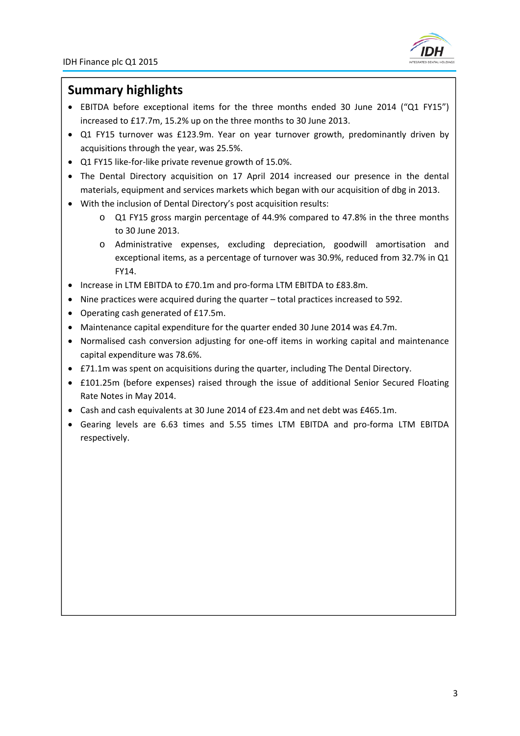

### **Summary highlights**

- EBITDA before exceptional items for the three months ended 30 June 2014 ("Q1 FY15") increased to £17.7m, 15.2% up on the three months to 30 June 2013.
- Q1 FY15 turnover was £123.9m. Year on year turnover growth, predominantly driven by acquisitions through the year, was 25.5%.
- Q1 FY15 like-for-like private revenue growth of 15.0%.
- The Dental Directory acquisition on 17 April 2014 increased our presence in the dental materials, equipment and services markets which began with our acquisition of dbg in 2013.
- With the inclusion of Dental Directory's post acquisition results:
	- o Q1 FY15 gross margin percentage of 44.9% compared to 47.8% in the three months to 30 June 2013.
	- o Administrative expenses, excluding depreciation, goodwill amortisation and exceptional items, as a percentage of turnover was 30.9%, reduced from 32.7% in Q1 FY14.
- Increase in LTM EBITDA to £70.1m and pro-forma LTM EBITDA to £83.8m.
- Nine practices were acquired during the quarter total practices increased to 592.
- Operating cash generated of £17.5m.
- Maintenance capital expenditure for the quarter ended 30 June 2014 was £4.7m.
- Normalised cash conversion adjusting for one-off items in working capital and maintenance capital expenditure was 78.6%.
- £71.1m was spent on acquisitions during the quarter, including The Dental Directory.
- £101.25m (before expenses) raised through the issue of additional Senior Secured Floating Rate Notes in May 2014.
- Cash and cash equivalents at 30 June 2014 of £23.4m and net debt was £465.1m.
- Gearing levels are 6.63 times and 5.55 times LTM EBITDA and pro‐forma LTM EBITDA respectively.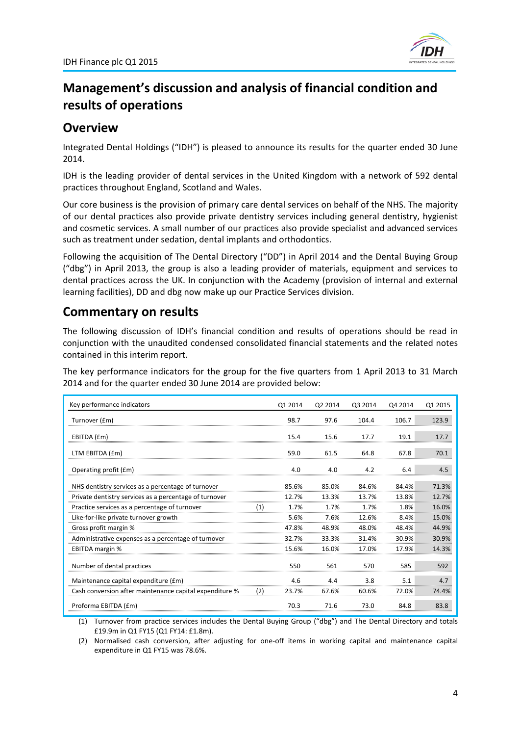

# **Management's discussion and analysis of financial condition and results of operations**

### **Overview**

Integrated Dental Holdings ("IDH") is pleased to announce its results for the quarter ended 30 June 2014.

IDH is the leading provider of dental services in the United Kingdom with a network of 592 dental practices throughout England, Scotland and Wales.

Our core business is the provision of primary care dental services on behalf of the NHS. The majority of our dental practices also provide private dentistry services including general dentistry, hygienist and cosmetic services. A small number of our practices also provide specialist and advanced services such as treatment under sedation, dental implants and orthodontics.

Following the acquisition of The Dental Directory ("DD") in April 2014 and the Dental Buying Group ("dbg") in April 2013, the group is also a leading provider of materials, equipment and services to dental practices across the UK. In conjunction with the Academy (provision of internal and external learning facilities), DD and dbg now make up our Practice Services division.

# **Commentary on results**

The following discussion of IDH's financial condition and results of operations should be read in conjunction with the unaudited condensed consolidated financial statements and the related notes contained in this interim report.

The key performance indicators for the group for the five quarters from 1 April 2013 to 31 March 2014 and for the quarter ended 30 June 2014 are provided below:

| Key performance indicators                              |     | Q1 2014 | Q2 2014 | Q3 2014 | Q4 2014 | Q1 2015 |
|---------------------------------------------------------|-----|---------|---------|---------|---------|---------|
| Turnover (£m)                                           |     | 98.7    | 97.6    | 104.4   | 106.7   |         |
| EBITDA (£m)                                             |     | 15.4    | 15.6    | 17.7    | 19.1    | 177     |
| LTM EBITDA (£m)                                         |     | 59.0    | 61.5    | 64.8    | 67.8    | 70.1    |
| Operating profit (£m)                                   |     | 4.0     | 4.0     | 4.2     | 6.4     |         |
| NHS dentistry services as a percentage of turnover      |     | 85.6%   | 85.0%   | 84.6%   | 84.4%   |         |
| Private dentistry services as a percentage of turnover  |     | 12.7%   | 13.3%   | 13.7%   | 13.8%   |         |
| Practice services as a percentage of turnover           | (1) | 1.7%    | 1.7%    | 1.7%    | 1.8%    | 16.0%   |
| Like-for-like private turnover growth                   |     | 5.6%    | 7.6%    | 12.6%   | 8.4%    | 15.0%   |
| Gross profit margin %                                   |     | 47.8%   | 48.9%   | 48.0%   | 48.4%   | 44.9%   |
| Administrative expenses as a percentage of turnover     |     | 32.7%   | 33.3%   | 31.4%   | 30.9%   | 30.9%   |
| <b>EBITDA</b> margin %                                  |     | 15.6%   | 16.0%   | 17.0%   | 17.9%   | 14.3%   |
| Number of dental practices                              |     | 550     | 561     | 570     | 585     | 592     |
| Maintenance capital expenditure (£m)                    |     | 4.6     | 4.4     | 3.8     | 5.1     |         |
| Cash conversion after maintenance capital expenditure % | (2) | 23.7%   | 67.6%   | 60.6%   | 72.0%   | 74.4%   |
| Proforma EBITDA (£m)                                    |     | 70.3    | 71.6    | 73.0    | 84.8    | 83.8    |

(1) Turnover from practice services includes the Dental Buying Group ("dbg") and The Dental Directory and totals £19.9m in Q1 FY15 (Q1 FY14: £1.8m).

(2) Normalised cash conversion, after adjusting for one‐off items in working capital and maintenance capital expenditure in Q1 FY15 was 78.6%.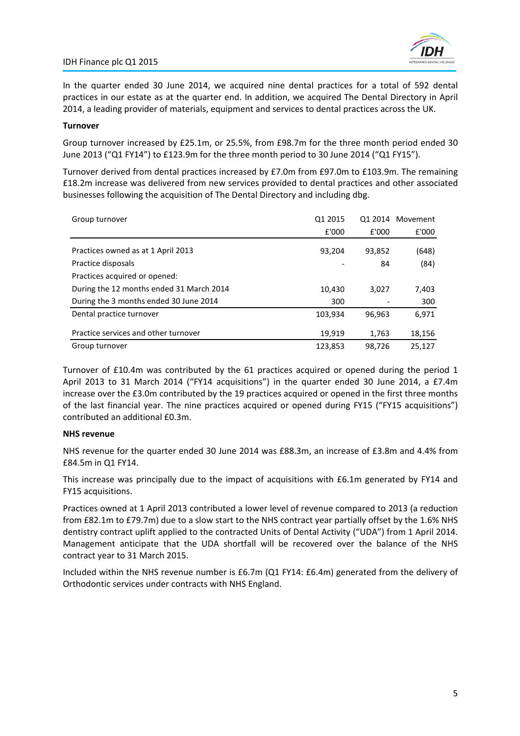

In the quarter ended 30 June 2014, we acquired nine dental practices for a total of 592 dental practices in our estate as at the quarter end. In addition, we acquired The Dental Directory in April 2014, a leading provider of materials, equipment and services to dental practices across the UK.

### **Turnover**

Group turnover increased by £25.1m, or 25.5%, from £98.7m for the three month period ended 30 June 2013 ("Q1 FY14") to £123.9m for the three month period to 30 June 2014 ("Q1 FY15").

Turnover derived from dental practices increased by £7.0m from £97.0m to £103.9m. The remaining £18.2m increase was delivered from new services provided to dental practices and other associated businesses following the acquisition of The Dental Directory and including dbg.

| Group turnover                           | Q1 2015 |        | Q1 2014 Movement |
|------------------------------------------|---------|--------|------------------|
|                                          | £'000   | £'000  | £'000            |
| Practices owned as at 1 April 2013       | 93,204  | 93,852 | (648)            |
| Practice disposals                       |         | 84     | (84)             |
| Practices acquired or opened:            |         |        |                  |
| During the 12 months ended 31 March 2014 | 10,430  | 3,027  | 7,403            |
| During the 3 months ended 30 June 2014   | 300     |        | 300              |
| Dental practice turnover                 | 103,934 | 96.963 | 6,971            |
| Practice services and other turnover     | 19,919  | 1,763  | 18,156           |
| Group turnover                           | 123,853 | 98,726 | 25,127           |

Turnover of £10.4m was contributed by the 61 practices acquired or opened during the period 1 April 2013 to 31 March 2014 ("FY14 acquisitions") in the quarter ended 30 June 2014, a £7.4m increase over the £3.0m contributed by the 19 practices acquired or opened in the first three months of the last financial year. The nine practices acquired or opened during FY15 ("FY15 acquisitions") contributed an additional £0.3m.

### **NHS revenue**

NHS revenue for the quarter ended 30 June 2014 was £88.3m, an increase of £3.8m and 4.4% from £84.5m in Q1 FY14.

This increase was principally due to the impact of acquisitions with £6.1m generated by FY14 and FY15 acquisitions.

Practices owned at 1 April 2013 contributed a lower level of revenue compared to 2013 (a reduction from £82.1m to £79.7m) due to a slow start to the NHS contract year partially offset by the 1.6% NHS dentistry contract uplift applied to the contracted Units of Dental Activity ("UDA") from 1 April 2014. Management anticipate that the UDA shortfall will be recovered over the balance of the NHS contract year to 31 March 2015.

Included within the NHS revenue number is £6.7m (Q1 FY14: £6.4m) generated from the delivery of Orthodontic services under contracts with NHS England.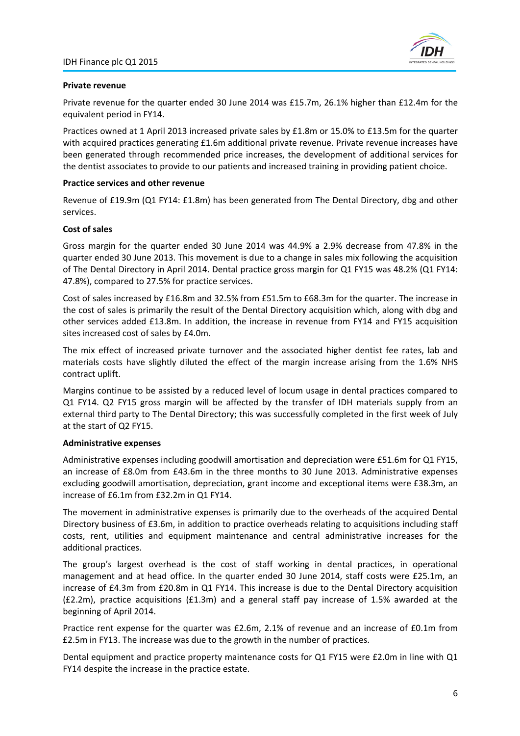

### **Private revenue**

Private revenue for the quarter ended 30 June 2014 was £15.7m, 26.1% higher than £12.4m for the equivalent period in FY14.

Practices owned at 1 April 2013 increased private sales by £1.8m or 15.0% to £13.5m for the quarter with acquired practices generating £1.6m additional private revenue. Private revenue increases have been generated through recommended price increases, the development of additional services for the dentist associates to provide to our patients and increased training in providing patient choice.

#### **Practice services and other revenue**

Revenue of £19.9m (Q1 FY14: £1.8m) has been generated from The Dental Directory, dbg and other services.

### **Cost of sales**

Gross margin for the quarter ended 30 June 2014 was 44.9% a 2.9% decrease from 47.8% in the quarter ended 30 June 2013. This movement is due to a change in sales mix following the acquisition of The Dental Directory in April 2014. Dental practice gross margin for Q1 FY15 was 48.2% (Q1 FY14: 47.8%), compared to 27.5% for practice services.

Cost of sales increased by £16.8m and 32.5% from £51.5m to £68.3m for the quarter. The increase in the cost of sales is primarily the result of the Dental Directory acquisition which, along with dbg and other services added £13.8m. In addition, the increase in revenue from FY14 and FY15 acquisition sites increased cost of sales by £4.0m.

The mix effect of increased private turnover and the associated higher dentist fee rates, lab and materials costs have slightly diluted the effect of the margin increase arising from the 1.6% NHS contract uplift.

Margins continue to be assisted by a reduced level of locum usage in dental practices compared to Q1 FY14. Q2 FY15 gross margin will be affected by the transfer of IDH materials supply from an external third party to The Dental Directory; this was successfully completed in the first week of July at the start of Q2 FY15.

### **Administrative expenses**

Administrative expenses including goodwill amortisation and depreciation were £51.6m for Q1 FY15, an increase of £8.0m from £43.6m in the three months to 30 June 2013. Administrative expenses excluding goodwill amortisation, depreciation, grant income and exceptional items were £38.3m, an increase of £6.1m from £32.2m in Q1 FY14.

The movement in administrative expenses is primarily due to the overheads of the acquired Dental Directory business of £3.6m, in addition to practice overheads relating to acquisitions including staff costs, rent, utilities and equipment maintenance and central administrative increases for the additional practices.

The group's largest overhead is the cost of staff working in dental practices, in operational management and at head office. In the quarter ended 30 June 2014, staff costs were £25.1m, an increase of £4.3m from £20.8m in Q1 FY14. This increase is due to the Dental Directory acquisition (£2.2m), practice acquisitions (£1.3m) and a general staff pay increase of 1.5% awarded at the beginning of April 2014.

Practice rent expense for the quarter was £2.6m, 2.1% of revenue and an increase of £0.1m from £2.5m in FY13. The increase was due to the growth in the number of practices.

Dental equipment and practice property maintenance costs for Q1 FY15 were £2.0m in line with Q1 FY14 despite the increase in the practice estate.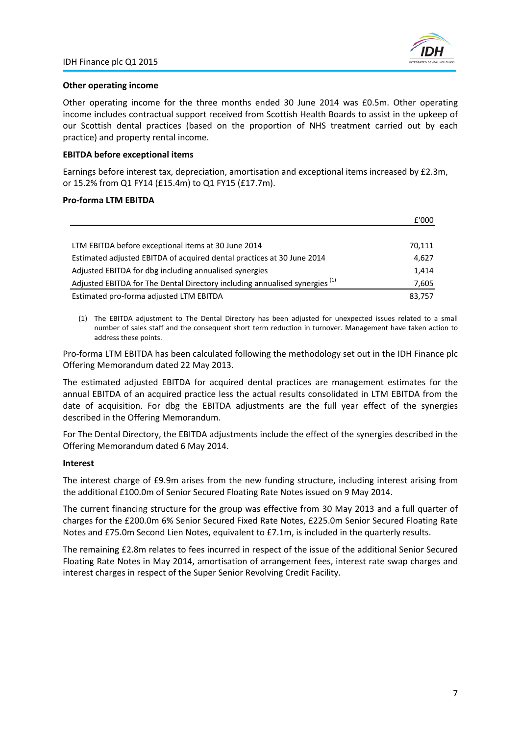

£'000

### **Other operating income**

Other operating income for the three months ended 30 June 2014 was £0.5m. Other operating income includes contractual support received from Scottish Health Boards to assist in the upkeep of our Scottish dental practices (based on the proportion of NHS treatment carried out by each practice) and property rental income.

### **EBITDA before exceptional items**

Earnings before interest tax, depreciation, amortisation and exceptional items increased by £2.3m, or 15.2% from Q1 FY14 (£15.4m) to Q1 FY15 (£17.7m).

### **Pro‐forma LTM EBITDA**

|                                                                                        | <b>LUUU</b> |
|----------------------------------------------------------------------------------------|-------------|
|                                                                                        |             |
| LTM EBITDA before exceptional items at 30 June 2014                                    | 70,111      |
| Estimated adjusted EBITDA of acquired dental practices at 30 June 2014                 | 4.627       |
| Adjusted EBITDA for dbg including annualised synergies                                 | 1.414       |
| Adjusted EBITDA for The Dental Directory including annualised synergies <sup>(1)</sup> | 7,605       |
| Estimated pro-forma adjusted LTM EBITDA                                                | 83,757      |

(1) The EBITDA adjustment to The Dental Directory has been adjusted for unexpected issues related to a small number of sales staff and the consequent short term reduction in turnover. Management have taken action to address these points.

Pro‐forma LTM EBITDA has been calculated following the methodology set out in the IDH Finance plc Offering Memorandum dated 22 May 2013.

The estimated adjusted EBITDA for acquired dental practices are management estimates for the annual EBITDA of an acquired practice less the actual results consolidated in LTM EBITDA from the date of acquisition. For dbg the EBITDA adjustments are the full year effect of the synergies described in the Offering Memorandum.

For The Dental Directory, the EBITDA adjustments include the effect of the synergies described in the Offering Memorandum dated 6 May 2014.

#### **Interest**

The interest charge of £9.9m arises from the new funding structure, including interest arising from the additional £100.0m of Senior Secured Floating Rate Notes issued on 9 May 2014.

The current financing structure for the group was effective from 30 May 2013 and a full quarter of charges for the £200.0m 6% Senior Secured Fixed Rate Notes, £225.0m Senior Secured Floating Rate Notes and £75.0m Second Lien Notes, equivalent to £7.1m, is included in the quarterly results.

The remaining £2.8m relates to fees incurred in respect of the issue of the additional Senior Secured Floating Rate Notes in May 2014, amortisation of arrangement fees, interest rate swap charges and interest charges in respect of the Super Senior Revolving Credit Facility.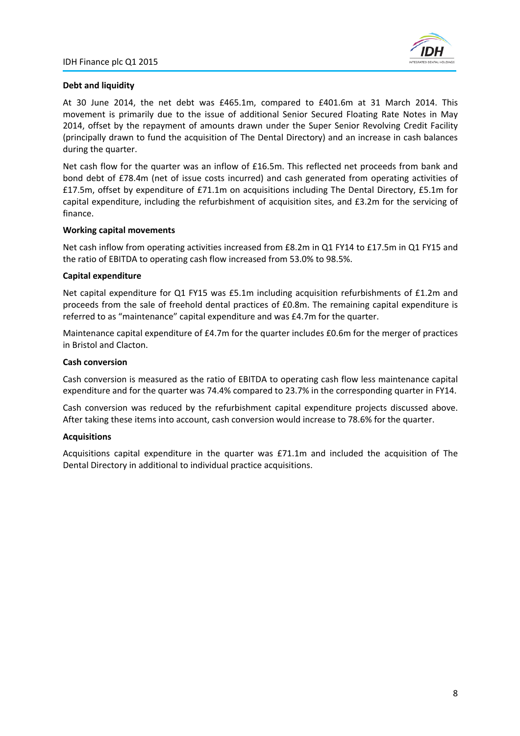

### **Debt and liquidity**

At 30 June 2014, the net debt was £465.1m, compared to £401.6m at 31 March 2014. This movement is primarily due to the issue of additional Senior Secured Floating Rate Notes in May 2014, offset by the repayment of amounts drawn under the Super Senior Revolving Credit Facility (principally drawn to fund the acquisition of The Dental Directory) and an increase in cash balances during the quarter.

Net cash flow for the quarter was an inflow of £16.5m. This reflected net proceeds from bank and bond debt of £78.4m (net of issue costs incurred) and cash generated from operating activities of £17.5m, offset by expenditure of £71.1m on acquisitions including The Dental Directory, £5.1m for capital expenditure, including the refurbishment of acquisition sites, and £3.2m for the servicing of finance.

### **Working capital movements**

Net cash inflow from operating activities increased from £8.2m in Q1 FY14 to £17.5m in Q1 FY15 and the ratio of EBITDA to operating cash flow increased from 53.0% to 98.5%.

### **Capital expenditure**

Net capital expenditure for Q1 FY15 was £5.1m including acquisition refurbishments of £1.2m and proceeds from the sale of freehold dental practices of £0.8m. The remaining capital expenditure is referred to as "maintenance" capital expenditure and was £4.7m for the quarter.

Maintenance capital expenditure of £4.7m for the quarter includes £0.6m for the merger of practices in Bristol and Clacton.

### **Cash conversion**

Cash conversion is measured as the ratio of EBITDA to operating cash flow less maintenance capital expenditure and for the quarter was 74.4% compared to 23.7% in the corresponding quarter in FY14.

Cash conversion was reduced by the refurbishment capital expenditure projects discussed above. After taking these items into account, cash conversion would increase to 78.6% for the quarter.

### **Acquisitions**

Acquisitions capital expenditure in the quarter was £71.1m and included the acquisition of The Dental Directory in additional to individual practice acquisitions.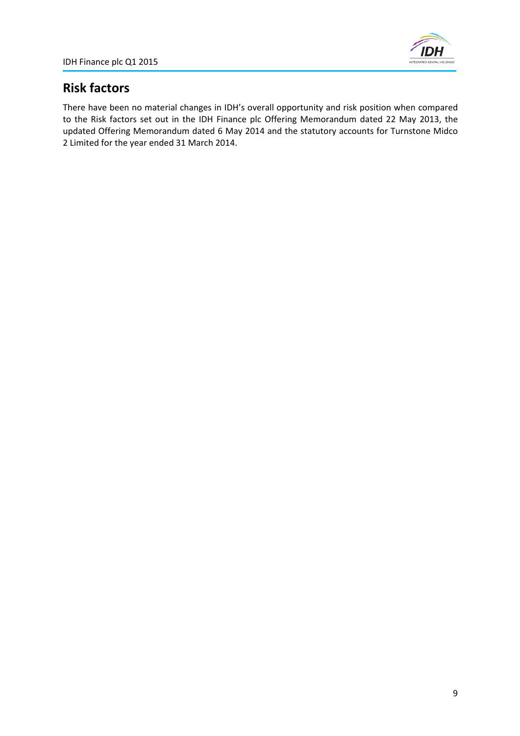

# **Risk factors**

There have been no material changes in IDH's overall opportunity and risk position when compared to the Risk factors set out in the IDH Finance plc Offering Memorandum dated 22 May 2013, the updated Offering Memorandum dated 6 May 2014 and the statutory accounts for Turnstone Midco 2 Limited for the year ended 31 March 2014.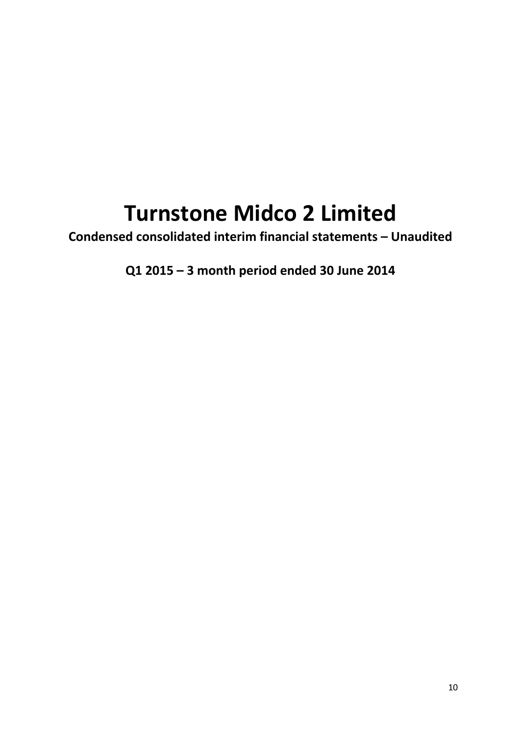# **Turnstone Midco 2 Limited**

**Condensed consolidated interim financial statements – Unaudited**

**Q1 2015 – 3 month period ended 30 June 2014**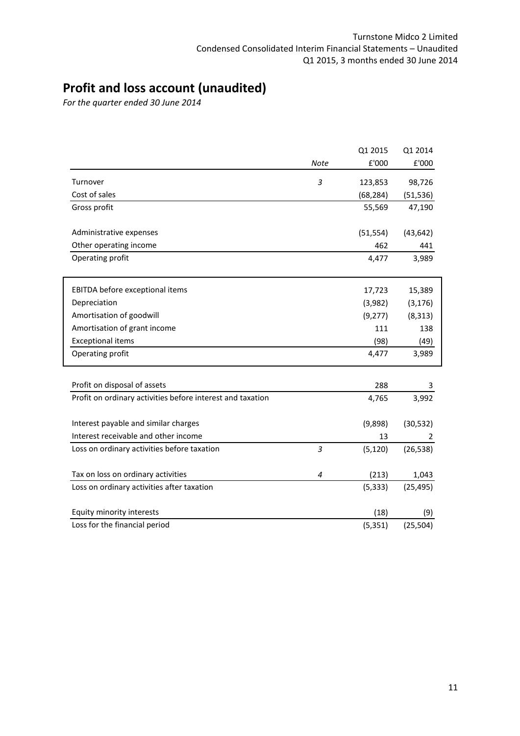# **Profit and loss account (unaudited)**

*For the quarter ended 30 June 2014*

|                                                            |                | Q1 2015   | Q1 2014   |
|------------------------------------------------------------|----------------|-----------|-----------|
|                                                            | <b>Note</b>    | £'000     | £'000     |
| Turnover                                                   | 3              | 123,853   | 98,726    |
| Cost of sales                                              |                | (68, 284) | (51, 536) |
| Gross profit                                               |                | 55,569    | 47,190    |
| Administrative expenses                                    |                | (51, 554) | (43, 642) |
| Other operating income                                     |                | 462       | 441       |
| Operating profit                                           |                | 4,477     | 3,989     |
| EBITDA before exceptional items                            |                | 17,723    | 15,389    |
| Depreciation                                               |                | (3,982)   | (3, 176)  |
| Amortisation of goodwill                                   |                | (9,277)   | (8, 313)  |
| Amortisation of grant income                               |                | 111       | 138       |
| <b>Exceptional items</b>                                   |                | (98)      | (49)      |
| Operating profit                                           |                | 4,477     | 3,989     |
| Profit on disposal of assets                               |                | 288       | 3         |
| Profit on ordinary activities before interest and taxation |                | 4,765     | 3,992     |
| Interest payable and similar charges                       |                | (9,898)   | (30, 532) |
| Interest receivable and other income                       |                | 13        | 2         |
| Loss on ordinary activities before taxation                | $\overline{3}$ | (5, 120)  | (26, 538) |
| Tax on loss on ordinary activities                         | $\overline{4}$ | (213)     | 1,043     |
| Loss on ordinary activities after taxation                 |                | (5, 333)  | (25, 495) |
| Equity minority interests                                  |                | (18)      | (9)       |
| Loss for the financial period                              |                | (5, 351)  | (25, 504) |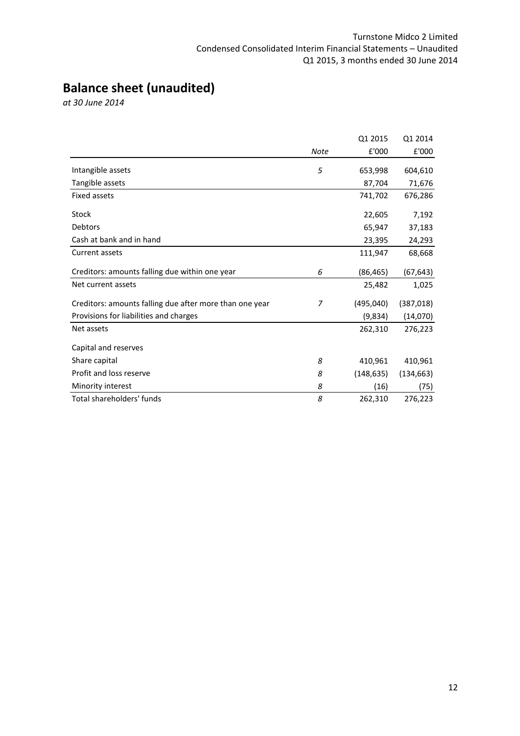# **Balance sheet (unaudited)**

*at 30 June 2014*

|                                                         |      | Q1 2015    | Q1 2014    |
|---------------------------------------------------------|------|------------|------------|
|                                                         | Note | £'000      | £'000      |
| Intangible assets                                       | 5    | 653,998    | 604,610    |
| Tangible assets                                         |      | 87,704     | 71,676     |
| <b>Fixed assets</b>                                     |      | 741,702    | 676,286    |
| <b>Stock</b>                                            |      | 22,605     | 7,192      |
| <b>Debtors</b>                                          |      | 65,947     | 37,183     |
| Cash at bank and in hand                                |      | 23,395     | 24,293     |
| Current assets                                          |      | 111,947    | 68,668     |
| Creditors: amounts falling due within one year          | 6    | (86, 465)  | (67, 643)  |
| Net current assets                                      |      | 25,482     | 1,025      |
| Creditors: amounts falling due after more than one year | 7    | (495, 040) | (387, 018) |
| Provisions for liabilities and charges                  |      | (9,834)    | (14,070)   |
| Net assets                                              |      | 262,310    | 276,223    |
| Capital and reserves                                    |      |            |            |
| Share capital                                           | 8    | 410,961    | 410,961    |
| Profit and loss reserve                                 | 8    | (148, 635) | (134, 663) |
| Minority interest                                       | 8    | (16)       | (75)       |
| Total shareholders' funds                               | 8    | 262,310    | 276,223    |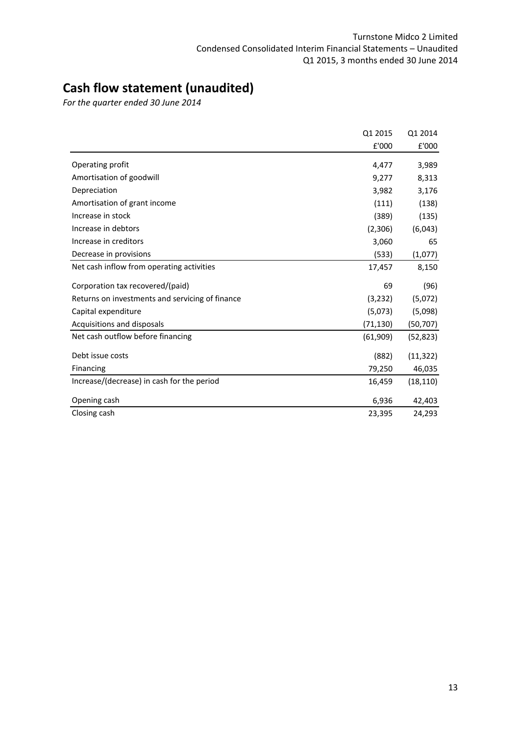# **Cash flow statement (unaudited)**

*For the quarter ended 30 June 2014*

|                                                 | Q1 2015   | Q1 2014   |
|-------------------------------------------------|-----------|-----------|
|                                                 | £'000     | £'000     |
| Operating profit                                | 4,477     | 3,989     |
| Amortisation of goodwill                        | 9,277     | 8,313     |
| Depreciation                                    | 3,982     | 3,176     |
| Amortisation of grant income                    | (111)     | (138)     |
| Increase in stock                               | (389)     | (135)     |
| Increase in debtors                             | (2,306)   | (6,043)   |
| Increase in creditors                           | 3,060     | 65        |
| Decrease in provisions                          | (533)     | (1,077)   |
| Net cash inflow from operating activities       | 17,457    | 8,150     |
| Corporation tax recovered/(paid)                | 69        | (96)      |
| Returns on investments and servicing of finance | (3,232)   | (5,072)   |
| Capital expenditure                             | (5,073)   | (5,098)   |
| Acquisitions and disposals                      | (71, 130) | (50,707)  |
| Net cash outflow before financing               | (61, 909) | (52, 823) |
| Debt issue costs                                | (882)     | (11, 322) |
| Financing                                       | 79,250    | 46,035    |
| Increase/(decrease) in cash for the period      | 16,459    | (18, 110) |
| Opening cash                                    | 6,936     | 42,403    |
| Closing cash                                    | 23,395    | 24,293    |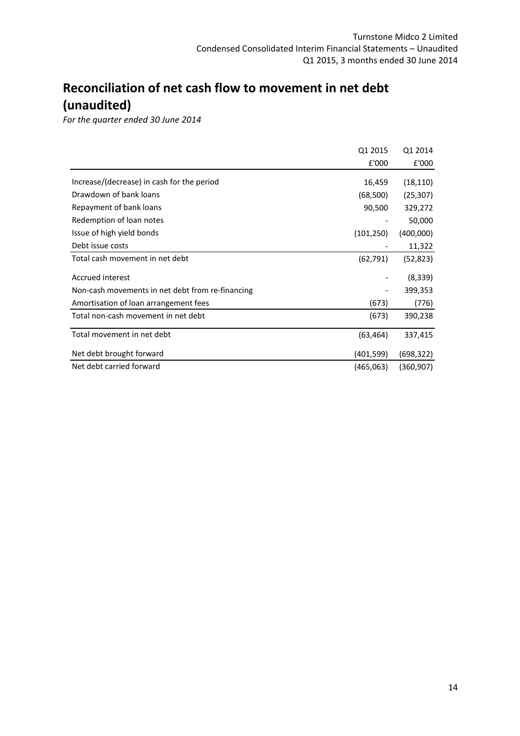# **Reconciliation of net cash flow to movement in net debt (unaudited)**

*For the quarter ended 30 June 2014*

|                                                  | Q1 2015    | Q1 2014   |
|--------------------------------------------------|------------|-----------|
|                                                  | £'000      | £'000     |
| Increase/(decrease) in cash for the period       | 16,459     | (18, 110) |
| Drawdown of bank loans                           | (68, 500)  | (25, 307) |
| Repayment of bank loans                          | 90,500     | 329,272   |
| Redemption of loan notes                         |            | 50,000    |
| Issue of high yield bonds                        | (101, 250) | (400,000) |
| Debt issue costs                                 |            | 11,322    |
| Total cash movement in net debt                  | (62, 791)  | (52, 823) |
| Accrued interest                                 |            | (8, 339)  |
| Non-cash movements in net debt from re-financing |            | 399,353   |
| Amortisation of loan arrangement fees            | (673)      | (776)     |
| Total non-cash movement in net debt              | (673)      | 390,238   |
| Total movement in net debt                       | (63, 464)  | 337,415   |
| Net debt brought forward                         | (401,599)  | (698,322) |
| Net debt carried forward                         | (465,063)  | (360,907) |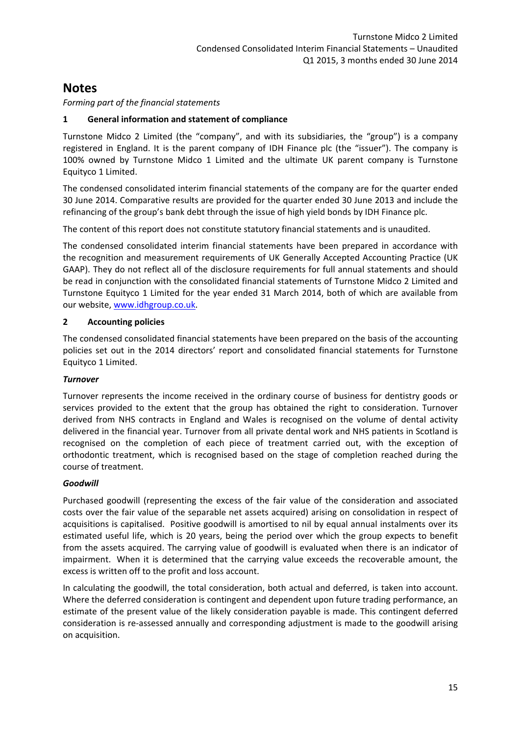### *Forming part of the financial statements*

### **1 General information and statement of compliance**

Turnstone Midco 2 Limited (the "company", and with its subsidiaries, the "group") is a company registered in England. It is the parent company of IDH Finance plc (the "issuer"). The company is 100% owned by Turnstone Midco 1 Limited and the ultimate UK parent company is Turnstone Equityco 1 Limited.

The condensed consolidated interim financial statements of the company are for the quarter ended 30 June 2014. Comparative results are provided for the quarter ended 30 June 2013 and include the refinancing of the group's bank debt through the issue of high yield bonds by IDH Finance plc.

The content of this report does not constitute statutory financial statements and is unaudited.

The condensed consolidated interim financial statements have been prepared in accordance with the recognition and measurement requirements of UK Generally Accepted Accounting Practice (UK GAAP). They do not reflect all of the disclosure requirements for full annual statements and should be read in conjunction with the consolidated financial statements of Turnstone Midco 2 Limited and Turnstone Equityco 1 Limited for the year ended 31 March 2014, both of which are available from our website, www.idhgroup.co.uk.

### **2 Accounting policies**

The condensed consolidated financial statements have been prepared on the basis of the accounting policies set out in the 2014 directors' report and consolidated financial statements for Turnstone Equityco 1 Limited.

### *Turnover*

Turnover represents the income received in the ordinary course of business for dentistry goods or services provided to the extent that the group has obtained the right to consideration. Turnover derived from NHS contracts in England and Wales is recognised on the volume of dental activity delivered in the financial year. Turnover from all private dental work and NHS patients in Scotland is recognised on the completion of each piece of treatment carried out, with the exception of orthodontic treatment, which is recognised based on the stage of completion reached during the course of treatment.

### *Goodwill*

Purchased goodwill (representing the excess of the fair value of the consideration and associated costs over the fair value of the separable net assets acquired) arising on consolidation in respect of acquisitions is capitalised. Positive goodwill is amortised to nil by equal annual instalments over its estimated useful life, which is 20 years, being the period over which the group expects to benefit from the assets acquired. The carrying value of goodwill is evaluated when there is an indicator of impairment. When it is determined that the carrying value exceeds the recoverable amount, the excess is written off to the profit and loss account.

In calculating the goodwill, the total consideration, both actual and deferred, is taken into account. Where the deferred consideration is contingent and dependent upon future trading performance, an estimate of the present value of the likely consideration payable is made. This contingent deferred consideration is re‐assessed annually and corresponding adjustment is made to the goodwill arising on acquisition.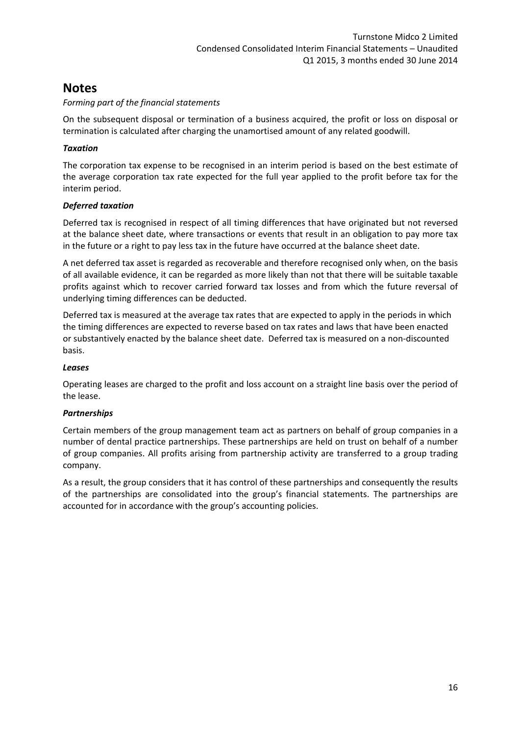### *Forming part of the financial statements*

On the subsequent disposal or termination of a business acquired, the profit or loss on disposal or termination is calculated after charging the unamortised amount of any related goodwill.

### *Taxation*

The corporation tax expense to be recognised in an interim period is based on the best estimate of the average corporation tax rate expected for the full year applied to the profit before tax for the interim period.

### *Deferred taxation*

Deferred tax is recognised in respect of all timing differences that have originated but not reversed at the balance sheet date, where transactions or events that result in an obligation to pay more tax in the future or a right to pay less tax in the future have occurred at the balance sheet date.

A net deferred tax asset is regarded as recoverable and therefore recognised only when, on the basis of all available evidence, it can be regarded as more likely than not that there will be suitable taxable profits against which to recover carried forward tax losses and from which the future reversal of underlying timing differences can be deducted.

Deferred tax is measured at the average tax rates that are expected to apply in the periods in which the timing differences are expected to reverse based on tax rates and laws that have been enacted or substantively enacted by the balance sheet date. Deferred tax is measured on a non‐discounted basis.

### *Leases*

Operating leases are charged to the profit and loss account on a straight line basis over the period of the lease.

### *Partnerships*

Certain members of the group management team act as partners on behalf of group companies in a number of dental practice partnerships. These partnerships are held on trust on behalf of a number of group companies. All profits arising from partnership activity are transferred to a group trading company.

As a result, the group considers that it has control of these partnerships and consequently the results of the partnerships are consolidated into the group's financial statements. The partnerships are accounted for in accordance with the group's accounting policies.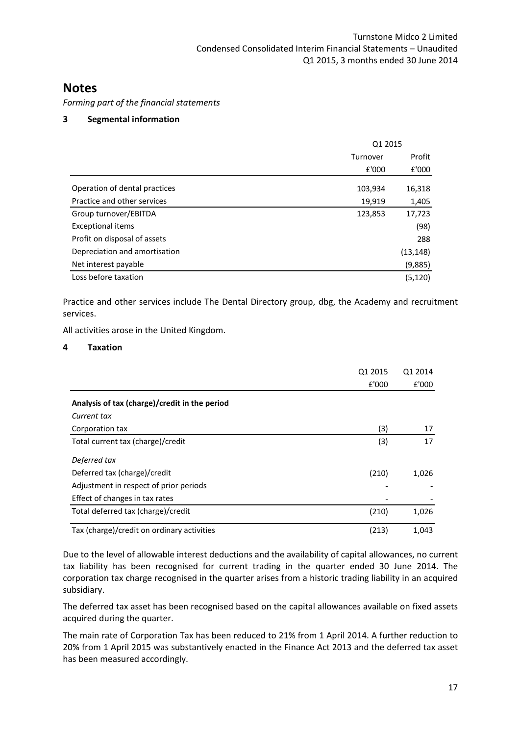*Forming part of the financial statements*

### **3 Segmental information**

|                               | Q1 2015  |           |
|-------------------------------|----------|-----------|
|                               | Turnover | Profit    |
|                               | £'000    | £'000     |
| Operation of dental practices | 103,934  | 16,318    |
| Practice and other services   | 19,919   | 1,405     |
| Group turnover/EBITDA         | 123,853  | 17,723    |
| <b>Exceptional items</b>      |          | (98)      |
| Profit on disposal of assets  |          | 288       |
| Depreciation and amortisation |          | (13, 148) |
| Net interest payable          |          | (9,885)   |
| Loss before taxation          |          | (5, 120)  |

Practice and other services include The Dental Directory group, dbg, the Academy and recruitment services.

All activities arose in the United Kingdom.

### **4 Taxation**

|                                               | Q1 2015 | Q1 2014 |
|-----------------------------------------------|---------|---------|
|                                               | £'000   | £'000   |
| Analysis of tax (charge)/credit in the period |         |         |
| Current tax                                   |         |         |
| Corporation tax                               | (3)     | 17      |
| Total current tax (charge)/credit             | (3)     | 17      |
| Deferred tax                                  |         |         |
| Deferred tax (charge)/credit                  | (210)   | 1,026   |
| Adjustment in respect of prior periods        |         |         |
| Effect of changes in tax rates                |         |         |
| Total deferred tax (charge)/credit            | (210)   | 1,026   |
| Tax (charge)/credit on ordinary activities    | (213)   | 1,043   |

Due to the level of allowable interest deductions and the availability of capital allowances, no current tax liability has been recognised for current trading in the quarter ended 30 June 2014. The corporation tax charge recognised in the quarter arises from a historic trading liability in an acquired subsidiary.

The deferred tax asset has been recognised based on the capital allowances available on fixed assets acquired during the quarter.

The main rate of Corporation Tax has been reduced to 21% from 1 April 2014. A further reduction to 20% from 1 April 2015 was substantively enacted in the Finance Act 2013 and the deferred tax asset has been measured accordingly.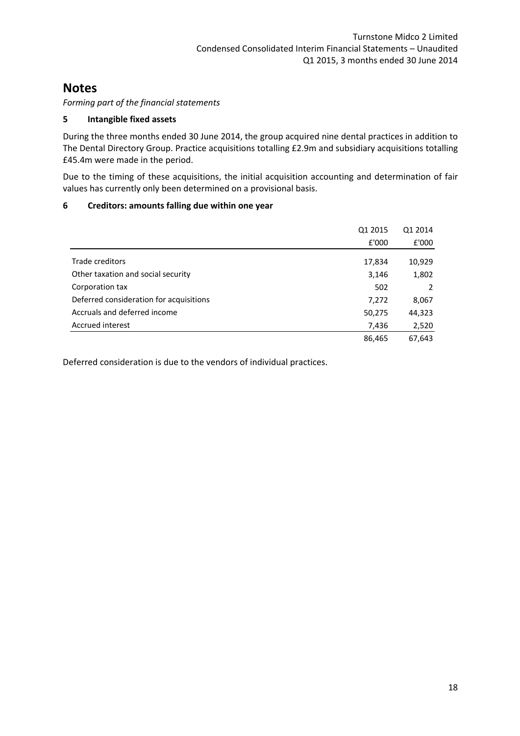*Forming part of the financial statements*

### **5 Intangible fixed assets**

During the three months ended 30 June 2014, the group acquired nine dental practices in addition to The Dental Directory Group. Practice acquisitions totalling £2.9m and subsidiary acquisitions totalling £45.4m were made in the period.

Due to the timing of these acquisitions, the initial acquisition accounting and determination of fair values has currently only been determined on a provisional basis.

### **6 Creditors: amounts falling due within one year**

|                                         | Q1 2015 | Q1 2014 |
|-----------------------------------------|---------|---------|
|                                         | £'000   | £'000   |
| Trade creditors                         | 17,834  | 10,929  |
| Other taxation and social security      | 3,146   | 1,802   |
| Corporation tax                         | 502     | 2       |
| Deferred consideration for acquisitions | 7,272   | 8,067   |
| Accruals and deferred income            | 50,275  | 44,323  |
| Accrued interest                        | 7,436   | 2,520   |
|                                         | 86,465  | 67,643  |

Deferred consideration is due to the vendors of individual practices.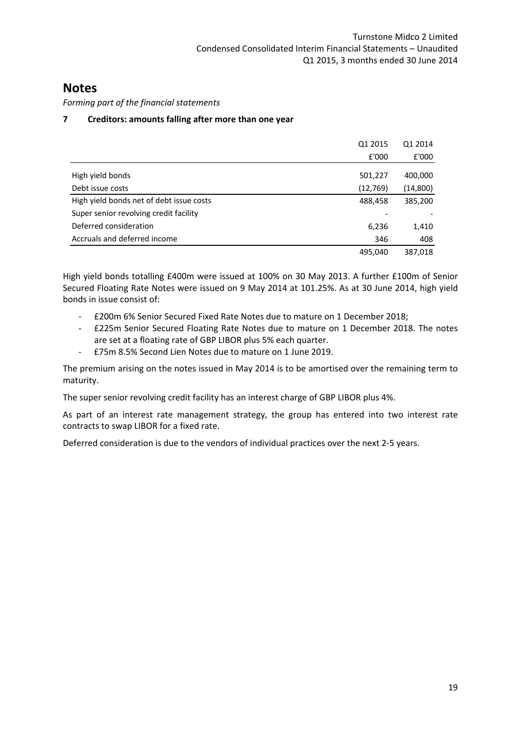*Forming part of the financial statements*

### **7 Creditors: amounts falling after more than one year**

|                                          | Q1 2015  | Q1 2014   |
|------------------------------------------|----------|-----------|
|                                          | £'000    | £'000     |
| High yield bonds                         | 501,227  | 400,000   |
| Debt issue costs                         | (12,769) | (14, 800) |
| High yield bonds net of debt issue costs | 488,458  | 385,200   |
| Super senior revolving credit facility   |          |           |
| Deferred consideration                   | 6,236    | 1,410     |
| Accruals and deferred income             | 346      | 408       |
|                                          | 495,040  | 387,018   |

High yield bonds totalling £400m were issued at 100% on 30 May 2013. A further £100m of Senior Secured Floating Rate Notes were issued on 9 May 2014 at 101.25%. As at 30 June 2014, high yield bonds in issue consist of:

- ‐ £200m 6% Senior Secured Fixed Rate Notes due to mature on 1 December 2018;
- ‐ £225m Senior Secured Floating Rate Notes due to mature on 1 December 2018. The notes are set at a floating rate of GBP LIBOR plus 5% each quarter.
- ‐ £75m 8.5% Second Lien Notes due to mature on 1 June 2019.

The premium arising on the notes issued in May 2014 is to be amortised over the remaining term to maturity.

The super senior revolving credit facility has an interest charge of GBP LIBOR plus 4%.

As part of an interest rate management strategy, the group has entered into two interest rate contracts to swap LIBOR for a fixed rate.

Deferred consideration is due to the vendors of individual practices over the next 2‐5 years.